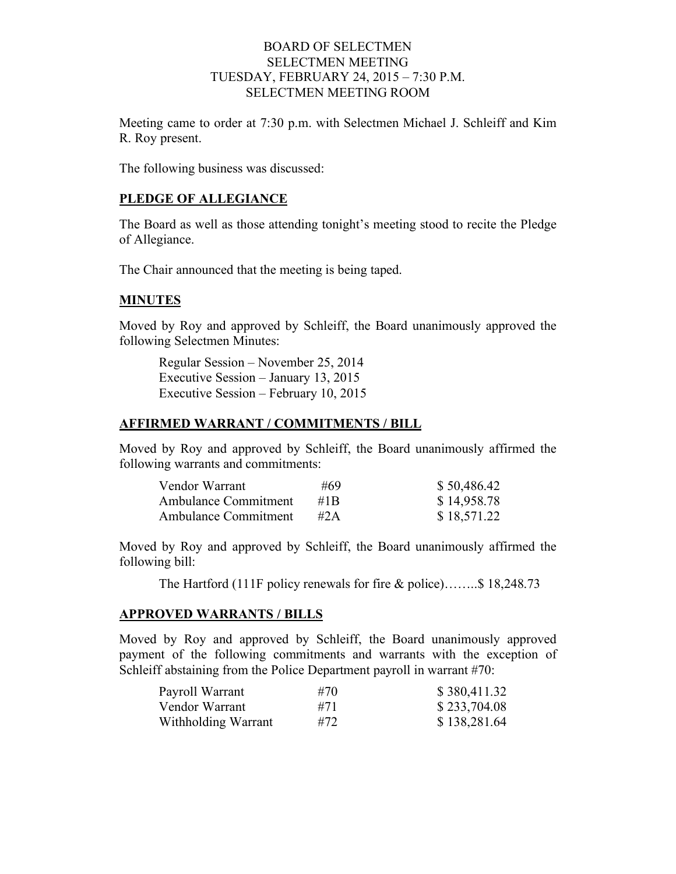### BOARD OF SELECTMEN SELECTMEN MEETING TUESDAY, FEBRUARY 24, 2015 – 7:30 P.M. SELECTMEN MEETING ROOM

Meeting came to order at 7:30 p.m. with Selectmen Michael J. Schleiff and Kim R. Roy present.

The following business was discussed:

#### **PLEDGE OF ALLEGIANCE**

The Board as well as those attending tonight's meeting stood to recite the Pledge of Allegiance.

The Chair announced that the meeting is being taped.

## **MINUTES**

Moved by Roy and approved by Schleiff, the Board unanimously approved the following Selectmen Minutes:

Regular Session – November 25, 2014 Executive Session – January 13, 2015 Executive Session – February 10, 2015

#### **AFFIRMED WARRANT / COMMITMENTS / BILL**

Moved by Roy and approved by Schleiff, the Board unanimously affirmed the following warrants and commitments:

| Vendor Warrant              | #69               | \$50,486.42 |
|-----------------------------|-------------------|-------------|
| Ambulance Commitment        | #1 $\overline{B}$ | \$14,958.78 |
| <b>Ambulance Commitment</b> | #2A               | \$18,571.22 |

Moved by Roy and approved by Schleiff, the Board unanimously affirmed the following bill:

The Hartford (111F policy renewals for fire & police)……..\$ 18,248.73

#### **APPROVED WARRANTS / BILLS**

Moved by Roy and approved by Schleiff, the Board unanimously approved payment of the following commitments and warrants with the exception of Schleiff abstaining from the Police Department payroll in warrant #70:

| Payroll Warrant     | #70 | \$380,411.32 |
|---------------------|-----|--------------|
| Vendor Warrant      | #71 | \$233,704.08 |
| Withholding Warrant | #72 | \$138,281.64 |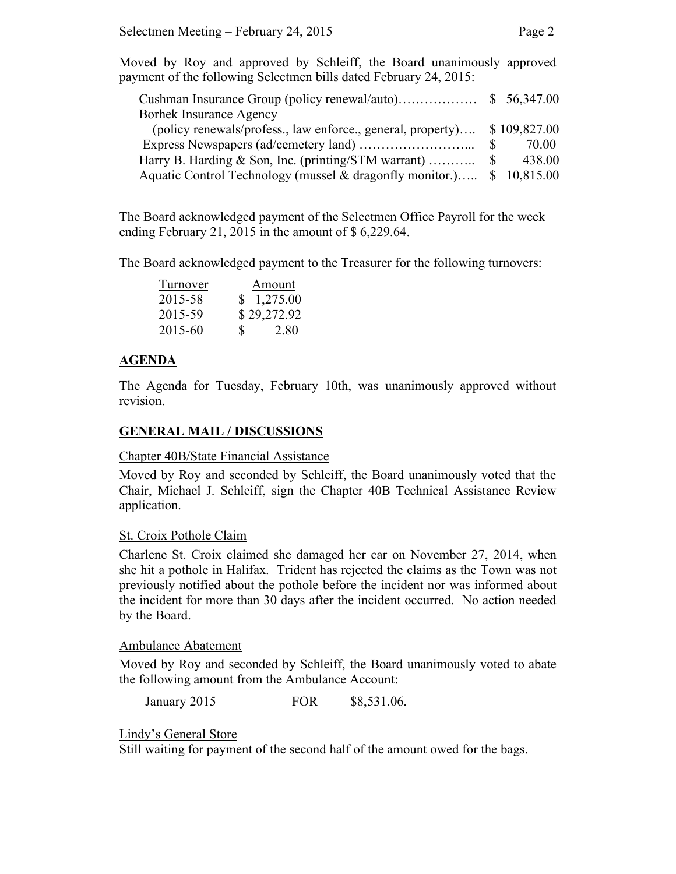Moved by Roy and approved by Schleiff, the Board unanimously approved payment of the following Selectmen bills dated February 24, 2015:

| <b>Borhek Insurance Agency</b>                                           |        |
|--------------------------------------------------------------------------|--------|
| (policy renewals/profess., law enforce., general, property) \$109,827.00 |        |
|                                                                          | 70.00  |
|                                                                          | 438.00 |
| Aquatic Control Technology (mussel & dragonfly monitor.) \$ 10,815.00    |        |

The Board acknowledged payment of the Selectmen Office Payroll for the week ending February 21, 2015 in the amount of \$ 6,229.64.

The Board acknowledged payment to the Treasurer for the following turnovers:

| Turnover | Amount              |
|----------|---------------------|
| 2015-58  | \$1,275.00          |
| 2015-59  | \$29,272.92         |
| 2015-60  | $\mathbf S$<br>2.80 |

## **AGENDA**

The Agenda for Tuesday, February 10th, was unanimously approved without revision.

## **GENERAL MAIL / DISCUSSIONS**

#### Chapter 40B/State Financial Assistance

Moved by Roy and seconded by Schleiff, the Board unanimously voted that the Chair, Michael J. Schleiff, sign the Chapter 40B Technical Assistance Review application.

## St. Croix Pothole Claim

Charlene St. Croix claimed she damaged her car on November 27, 2014, when she hit a pothole in Halifax. Trident has rejected the claims as the Town was not previously notified about the pothole before the incident nor was informed about the incident for more than 30 days after the incident occurred. No action needed by the Board.

#### Ambulance Abatement

Moved by Roy and seconded by Schleiff, the Board unanimously voted to abate the following amount from the Ambulance Account:

January 2015 **FOR** \$8,531.06.

## Lindy's General Store

Still waiting for payment of the second half of the amount owed for the bags.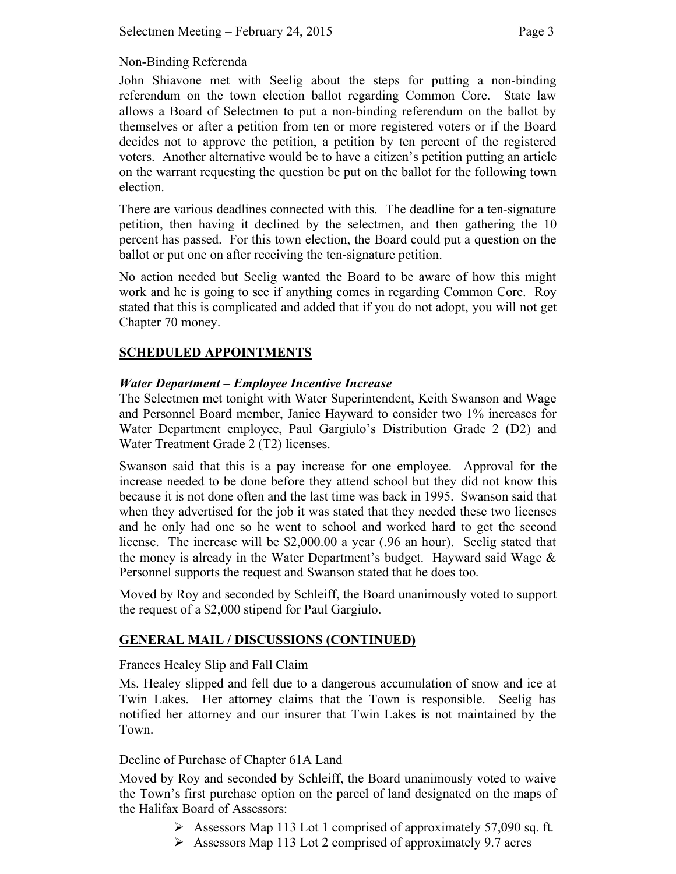### Non-Binding Referenda

John Shiavone met with Seelig about the steps for putting a non-binding referendum on the town election ballot regarding Common Core. State law allows a Board of Selectmen to put a non-binding referendum on the ballot by themselves or after a petition from ten or more registered voters or if the Board decides not to approve the petition, a petition by ten percent of the registered voters. Another alternative would be to have a citizen's petition putting an article on the warrant requesting the question be put on the ballot for the following town election.

There are various deadlines connected with this. The deadline for a ten-signature petition, then having it declined by the selectmen, and then gathering the 10 percent has passed. For this town election, the Board could put a question on the ballot or put one on after receiving the ten-signature petition.

No action needed but Seelig wanted the Board to be aware of how this might work and he is going to see if anything comes in regarding Common Core. Roy stated that this is complicated and added that if you do not adopt, you will not get Chapter 70 money.

## **SCHEDULED APPOINTMENTS**

## *Water Department – Employee Incentive Increase*

The Selectmen met tonight with Water Superintendent, Keith Swanson and Wage and Personnel Board member, Janice Hayward to consider two 1% increases for Water Department employee, Paul Gargiulo's Distribution Grade 2 (D2) and Water Treatment Grade 2 (T2) licenses.

Swanson said that this is a pay increase for one employee. Approval for the increase needed to be done before they attend school but they did not know this because it is not done often and the last time was back in 1995. Swanson said that when they advertised for the job it was stated that they needed these two licenses and he only had one so he went to school and worked hard to get the second license. The increase will be \$2,000.00 a year (.96 an hour). Seelig stated that the money is already in the Water Department's budget. Hayward said Wage  $\&$ Personnel supports the request and Swanson stated that he does too.

Moved by Roy and seconded by Schleiff, the Board unanimously voted to support the request of a \$2,000 stipend for Paul Gargiulo.

## **GENERAL MAIL / DISCUSSIONS (CONTINUED)**

## Frances Healey Slip and Fall Claim

Ms. Healey slipped and fell due to a dangerous accumulation of snow and ice at Twin Lakes. Her attorney claims that the Town is responsible. Seelig has notified her attorney and our insurer that Twin Lakes is not maintained by the Town.

## Decline of Purchase of Chapter 61A Land

Moved by Roy and seconded by Schleiff, the Board unanimously voted to waive the Town's first purchase option on the parcel of land designated on the maps of the Halifax Board of Assessors:

- Assessors Map 113 Lot 1 comprised of approximately 57,090 sq. ft.
- $\triangleright$  Assessors Map 113 Lot 2 comprised of approximately 9.7 acres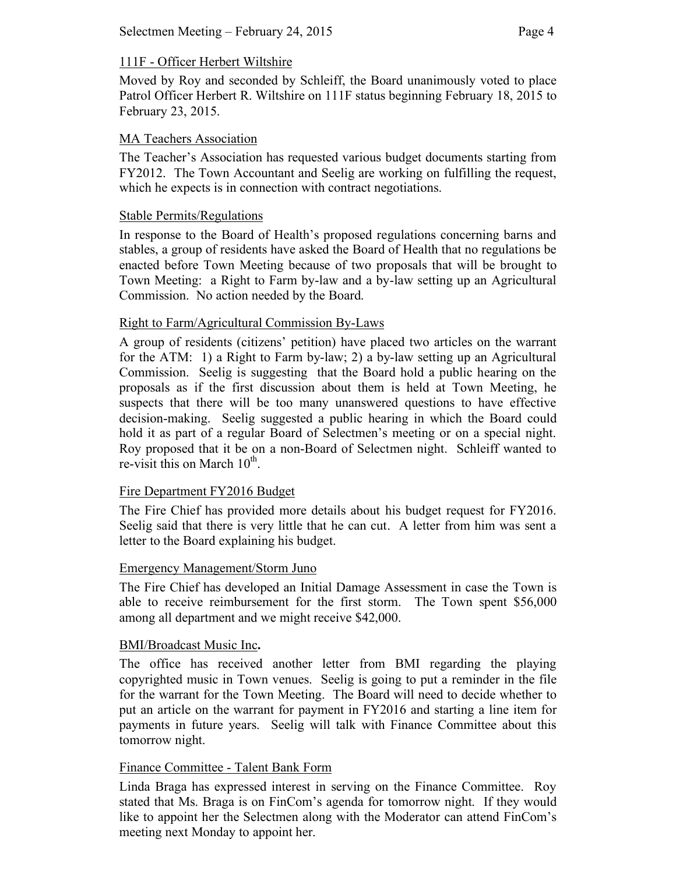## 111F - Officer Herbert Wiltshire

Moved by Roy and seconded by Schleiff, the Board unanimously voted to place Patrol Officer Herbert R. Wiltshire on 111F status beginning February 18, 2015 to February 23, 2015.

## MA Teachers Association

The Teacher's Association has requested various budget documents starting from FY2012. The Town Accountant and Seelig are working on fulfilling the request, which he expects is in connection with contract negotiations.

#### Stable Permits/Regulations

In response to the Board of Health's proposed regulations concerning barns and stables, a group of residents have asked the Board of Health that no regulations be enacted before Town Meeting because of two proposals that will be brought to Town Meeting: a Right to Farm by-law and a by-law setting up an Agricultural Commission. No action needed by the Board.

### Right to Farm/Agricultural Commission By-Laws

A group of residents (citizens' petition) have placed two articles on the warrant for the ATM: 1) a Right to Farm by-law; 2) a by-law setting up an Agricultural Commission. Seelig is suggesting that the Board hold a public hearing on the proposals as if the first discussion about them is held at Town Meeting, he suspects that there will be too many unanswered questions to have effective decision-making. Seelig suggested a public hearing in which the Board could hold it as part of a regular Board of Selectmen's meeting or on a special night. Roy proposed that it be on a non-Board of Selectmen night. Schleiff wanted to re-visit this on March  $10^{th}$ .

## Fire Department FY2016 Budget

The Fire Chief has provided more details about his budget request for FY2016. Seelig said that there is very little that he can cut. A letter from him was sent a letter to the Board explaining his budget.

#### Emergency Management/Storm Juno

The Fire Chief has developed an Initial Damage Assessment in case the Town is able to receive reimbursement for the first storm. The Town spent \$56,000 among all department and we might receive \$42,000.

#### BMI/Broadcast Music Inc**.**

The office has received another letter from BMI regarding the playing copyrighted music in Town venues. Seelig is going to put a reminder in the file for the warrant for the Town Meeting. The Board will need to decide whether to put an article on the warrant for payment in FY2016 and starting a line item for payments in future years. Seelig will talk with Finance Committee about this tomorrow night.

#### Finance Committee - Talent Bank Form

Linda Braga has expressed interest in serving on the Finance Committee. Roy stated that Ms. Braga is on FinCom's agenda for tomorrow night. If they would like to appoint her the Selectmen along with the Moderator can attend FinCom's meeting next Monday to appoint her.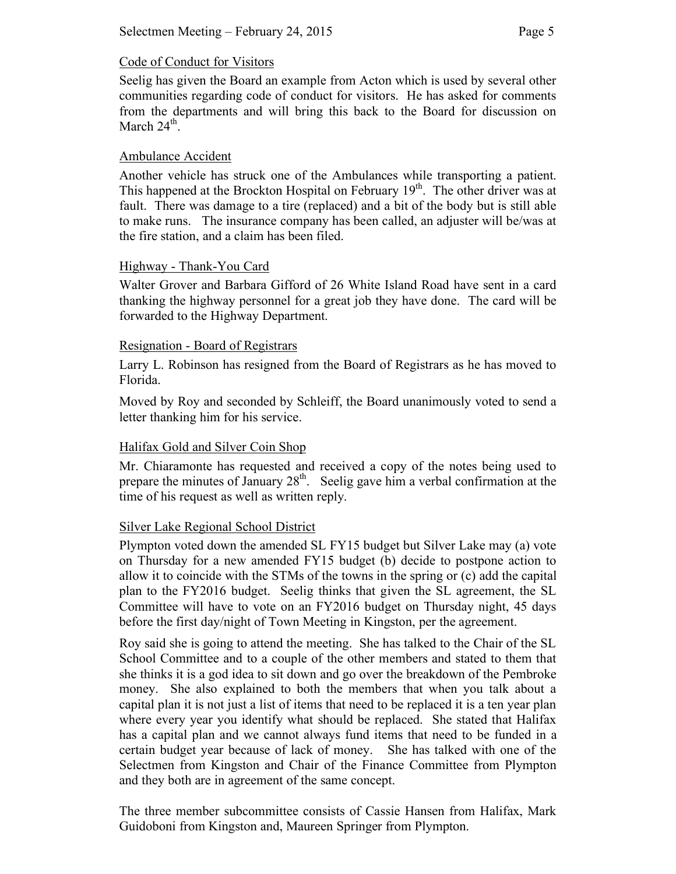# Code of Conduct for Visitors

Seelig has given the Board an example from Acton which is used by several other communities regarding code of conduct for visitors. He has asked for comments from the departments and will bring this back to the Board for discussion on March  $24<sup>th</sup>$ .

# Ambulance Accident

Another vehicle has struck one of the Ambulances while transporting a patient. This happened at the Brockton Hospital on February  $19<sup>th</sup>$ . The other driver was at fault. There was damage to a tire (replaced) and a bit of the body but is still able to make runs. The insurance company has been called, an adjuster will be/was at the fire station, and a claim has been filed.

# Highway - Thank-You Card

Walter Grover and Barbara Gifford of 26 White Island Road have sent in a card thanking the highway personnel for a great job they have done. The card will be forwarded to the Highway Department.

# Resignation - Board of Registrars

Larry L. Robinson has resigned from the Board of Registrars as he has moved to Florida.

Moved by Roy and seconded by Schleiff, the Board unanimously voted to send a letter thanking him for his service.

## Halifax Gold and Silver Coin Shop

Mr. Chiaramonte has requested and received a copy of the notes being used to prepare the minutes of January  $28<sup>th</sup>$ . Seelig gave him a verbal confirmation at the time of his request as well as written reply.

## Silver Lake Regional School District

Plympton voted down the amended SL FY15 budget but Silver Lake may (a) vote on Thursday for a new amended FY15 budget (b) decide to postpone action to allow it to coincide with the STMs of the towns in the spring or (c) add the capital plan to the FY2016 budget. Seelig thinks that given the SL agreement, the SL Committee will have to vote on an FY2016 budget on Thursday night, 45 days before the first day/night of Town Meeting in Kingston, per the agreement.

Roy said she is going to attend the meeting. She has talked to the Chair of the SL School Committee and to a couple of the other members and stated to them that she thinks it is a god idea to sit down and go over the breakdown of the Pembroke money. She also explained to both the members that when you talk about a capital plan it is not just a list of items that need to be replaced it is a ten year plan where every year you identify what should be replaced. She stated that Halifax has a capital plan and we cannot always fund items that need to be funded in a certain budget year because of lack of money. She has talked with one of the Selectmen from Kingston and Chair of the Finance Committee from Plympton and they both are in agreement of the same concept.

The three member subcommittee consists of Cassie Hansen from Halifax, Mark Guidoboni from Kingston and, Maureen Springer from Plympton.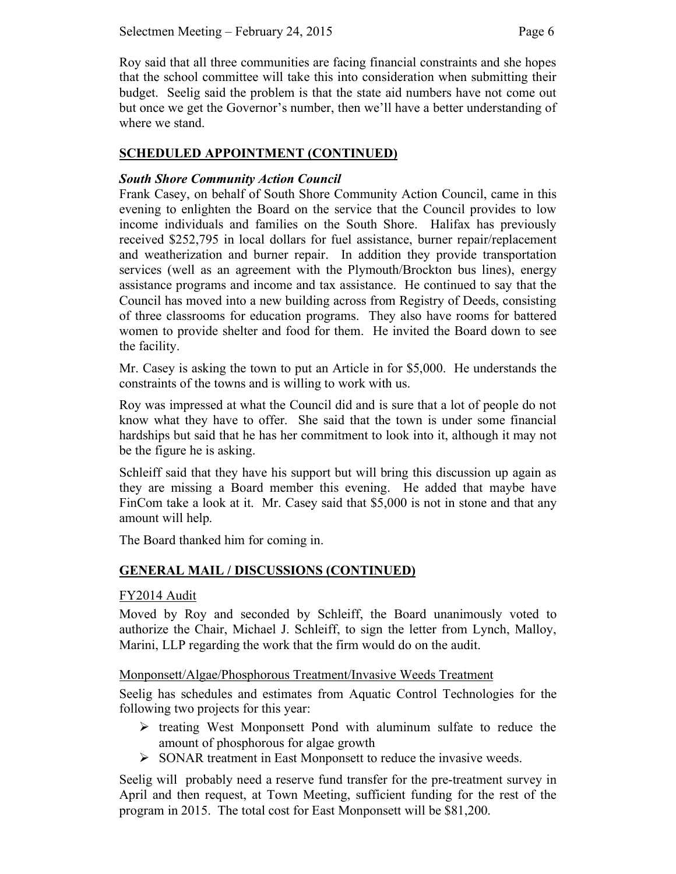Roy said that all three communities are facing financial constraints and she hopes that the school committee will take this into consideration when submitting their budget. Seelig said the problem is that the state aid numbers have not come out but once we get the Governor's number, then we'll have a better understanding of where we stand.

## **SCHEDULED APPOINTMENT (CONTINUED)**

## *South Shore Community Action Council*

Frank Casey, on behalf of South Shore Community Action Council, came in this evening to enlighten the Board on the service that the Council provides to low income individuals and families on the South Shore. Halifax has previously received \$252,795 in local dollars for fuel assistance, burner repair/replacement and weatherization and burner repair. In addition they provide transportation services (well as an agreement with the Plymouth/Brockton bus lines), energy assistance programs and income and tax assistance. He continued to say that the Council has moved into a new building across from Registry of Deeds, consisting of three classrooms for education programs. They also have rooms for battered women to provide shelter and food for them. He invited the Board down to see the facility.

Mr. Casey is asking the town to put an Article in for \$5,000. He understands the constraints of the towns and is willing to work with us.

Roy was impressed at what the Council did and is sure that a lot of people do not know what they have to offer. She said that the town is under some financial hardships but said that he has her commitment to look into it, although it may not be the figure he is asking.

Schleiff said that they have his support but will bring this discussion up again as they are missing a Board member this evening. He added that maybe have FinCom take a look at it. Mr. Casey said that \$5,000 is not in stone and that any amount will help.

The Board thanked him for coming in.

## **GENERAL MAIL / DISCUSSIONS (CONTINUED)**

## FY2014 Audit

Moved by Roy and seconded by Schleiff, the Board unanimously voted to authorize the Chair, Michael J. Schleiff, to sign the letter from Lynch, Malloy, Marini, LLP regarding the work that the firm would do on the audit.

## Monponsett/Algae/Phosphorous Treatment/Invasive Weeds Treatment

Seelig has schedules and estimates from Aquatic Control Technologies for the following two projects for this year:

- $\triangleright$  treating West Monponsett Pond with aluminum sulfate to reduce the amount of phosphorous for algae growth
- $\triangleright$  SONAR treatment in East Monponsett to reduce the invasive weeds.

Seelig will probably need a reserve fund transfer for the pre-treatment survey in April and then request, at Town Meeting, sufficient funding for the rest of the program in 2015. The total cost for East Monponsett will be \$81,200.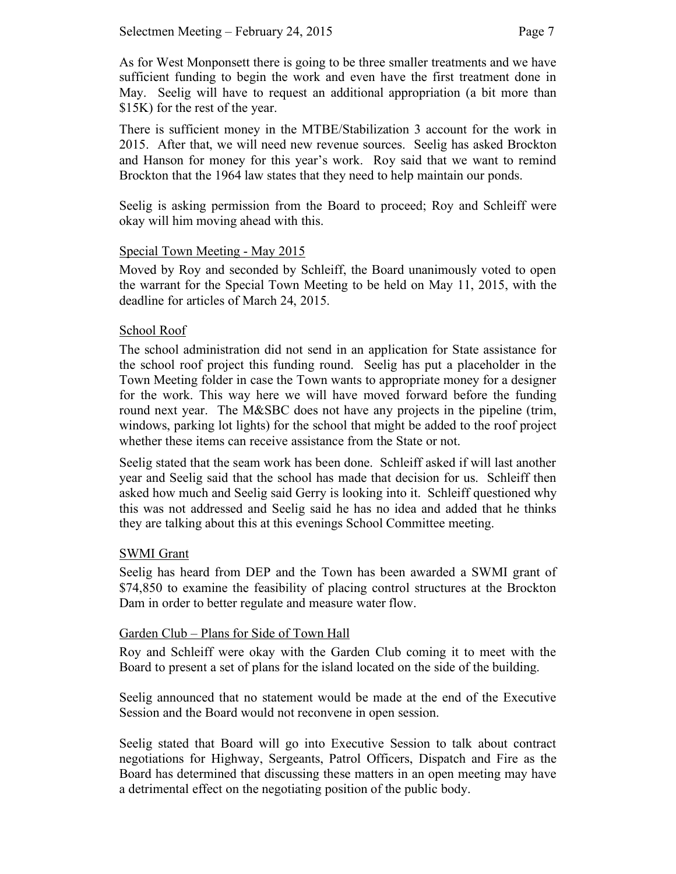As for West Monponsett there is going to be three smaller treatments and we have sufficient funding to begin the work and even have the first treatment done in May. Seelig will have to request an additional appropriation (a bit more than \$15K) for the rest of the year.

There is sufficient money in the MTBE/Stabilization 3 account for the work in 2015. After that, we will need new revenue sources. Seelig has asked Brockton and Hanson for money for this year's work. Roy said that we want to remind Brockton that the 1964 law states that they need to help maintain our ponds.

Seelig is asking permission from the Board to proceed; Roy and Schleiff were okay will him moving ahead with this.

## Special Town Meeting - May 2015

Moved by Roy and seconded by Schleiff, the Board unanimously voted to open the warrant for the Special Town Meeting to be held on May 11, 2015, with the deadline for articles of March 24, 2015.

## School Roof

The school administration did not send in an application for State assistance for the school roof project this funding round. Seelig has put a placeholder in the Town Meeting folder in case the Town wants to appropriate money for a designer for the work. This way here we will have moved forward before the funding round next year. The M&SBC does not have any projects in the pipeline (trim, windows, parking lot lights) for the school that might be added to the roof project whether these items can receive assistance from the State or not.

Seelig stated that the seam work has been done. Schleiff asked if will last another year and Seelig said that the school has made that decision for us. Schleiff then asked how much and Seelig said Gerry is looking into it. Schleiff questioned why this was not addressed and Seelig said he has no idea and added that he thinks they are talking about this at this evenings School Committee meeting.

#### SWMI Grant

Seelig has heard from DEP and the Town has been awarded a SWMI grant of \$74,850 to examine the feasibility of placing control structures at the Brockton Dam in order to better regulate and measure water flow.

#### Garden Club – Plans for Side of Town Hall

Roy and Schleiff were okay with the Garden Club coming it to meet with the Board to present a set of plans for the island located on the side of the building.

Seelig announced that no statement would be made at the end of the Executive Session and the Board would not reconvene in open session.

Seelig stated that Board will go into Executive Session to talk about contract negotiations for Highway, Sergeants, Patrol Officers, Dispatch and Fire as the Board has determined that discussing these matters in an open meeting may have a detrimental effect on the negotiating position of the public body.